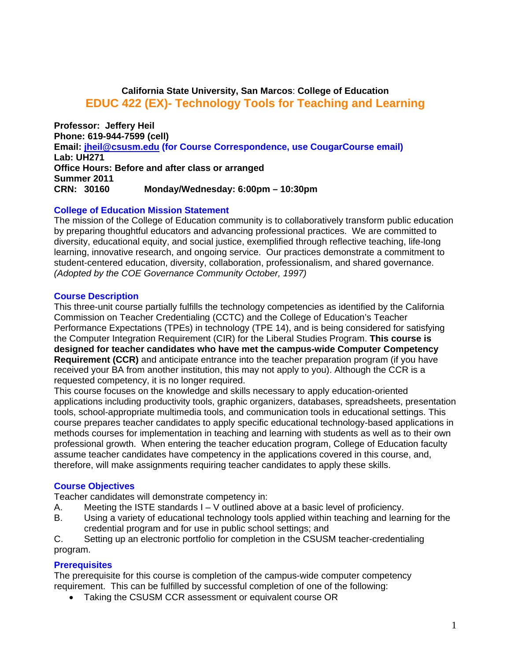# **California State University, San Marcos**: **College of Education EDUC 422 (EX)- Technology Tools for Teaching and Learning**

**Lab: UH271** CRN: 30160 **Professor: Jeffery Heil Phone: 619-944-7599 (cell) Email: jheil@csusm.edu (for Course Correspondence, use CougarCourse email) Office Hours: Before and after class or arranged Summer 2011 CRN: 30160 Monday/Wednesday: 6:00pm – 10:30pm** 

## **College of Education Mission Statement**

The mission of the College of Education community is to collaboratively transform public education by preparing thoughtful educators and advancing professional practices. We are committed to diversity, educational equity, and social justice, exemplified through reflective teaching, life-long learning, innovative research, and ongoing service. Our practices demonstrate a commitment to student-centered education, diversity, collaboration, professionalism, and shared governance. *(Adopted by the COE Governance Community October, 1997)* 

#### **Course Description**

This three-unit course partially fulfills the technology competencies as identified by the California Commission on Teacher Credentialing (CCTC) and the College of Education's Teacher Performance Expectations (TPEs) in technology (TPE 14), and is being considered for satisfying the Computer Integration Requirement (CIR) for the Liberal Studies Program. **This course is designed for teacher candidates who have met the campus-wide Computer Competency Requirement (CCR)** and anticipate entrance into the teacher preparation program (if you have received your BA from another institution, this may not apply to you). Although the CCR is a requested competency, it is no longer required.

This course focuses on the knowledge and skills necessary to apply education-oriented applications including productivity tools, graphic organizers, databases, spreadsheets, presentation tools, school-appropriate multimedia tools, and communication tools in educational settings. This course prepares teacher candidates to apply specific educational technology-based applications in methods courses for implementation in teaching and learning with students as well as to their own professional growth. When entering the teacher education program, College of Education faculty assume teacher candidates have competency in the applications covered in this course, and, therefore, will make assignments requiring teacher candidates to apply these skills.

#### **Course Objectives**

Teacher candidates will demonstrate competency in:

- A. Meeting the ISTE standards  $I V$  outlined above at a basic level of proficiency.
- B. Using a variety of educational technology tools applied within teaching and learning for the credential program and for use in public school settings; and

C. Setting up an electronic portfolio for completion in the CSUSM teacher-credentialing program.

## **Prerequisites**

The prerequisite for this course is completion of the campus-wide computer competency requirement. This can be fulfilled by successful completion of one of the following:

• Taking the CSUSM CCR assessment or equivalent course OR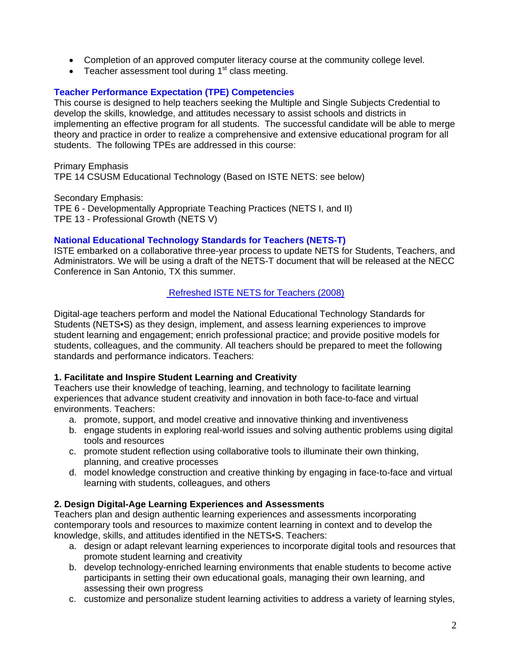- Completion of an approved computer literacy course at the community college level.
- **•** Teacher assessment tool during  $1<sup>st</sup>$  class meeting.

# **Teacher Performance Expectation (TPE) Competencies**

This course is designed to help teachers seeking the Multiple and Single Subjects Credential to develop the skills, knowledge, and attitudes necessary to assist schools and districts in implementing an effective program for all students. The successful candidate will be able to merge theory and practice in order to realize a comprehensive and extensive educational program for all students. The following TPEs are addressed in this course:

Primary Emphasis TPE 14 CSUSM Educational Technology (Based on ISTE NETS: see below)

Secondary Emphasis: TPE 6 - Developmentally Appropriate Teaching Practices (NETS I, and II) TPE 13 - Professional Growth (NETS V)

# **National Educational Technology Standards for Teachers (NETS-T)**

ISTE embarked on a collaborative three-year process to update NETS for Students, Teachers, and Administrators. We will be using a draft of the NETS-T document that will be released at the NECC Conference in San Antonio, TX this summer.

# Refreshed ISTE NETS for Teachers (2008)

Digital-age teachers perform and model the National Educational Technology Standards for Students (NETS•S) as they design, implement, and assess learning experiences to improve student learning and engagement; enrich professional practice; and provide positive models for students, colleagues, and the community. All teachers should be prepared to meet the following standards and performance indicators. Teachers:

## **1. Facilitate and Inspire Student Learning and Creativity**

environments. Teachers: Teachers use their knowledge of teaching, learning, and technology to facilitate learning experiences that advance student creativity and innovation in both face-to-face and virtual

- a. promote, support, and model creative and innovative thinking and inventiveness
- b. engage students in exploring real-world issues and solving authentic problems using digital tools and resources
- c. promote student reflection using collaborative tools to illuminate their own thinking, planning, and creative processes
- d. model knowledge construction and creative thinking by engaging in face-to-face and virtual learning with students, colleagues, and others

## **2. Design Digital-Age Learning Experiences and Assessments**

Teachers plan and design authentic learning experiences and assessments incorporating contemporary tools and resources to maximize content learning in context and to develop the knowledge, skills, and attitudes identified in the NETS•S. Teachers:

- a. design or adapt relevant learning experiences to incorporate digital tools and resources that promote student learning and creativity
- b. develop technology-enriched learning environments that enable students to become active participants in setting their own educational goals, managing their own learning, and assessing their own progress
- c. customize and personalize student learning activities to address a variety of learning styles,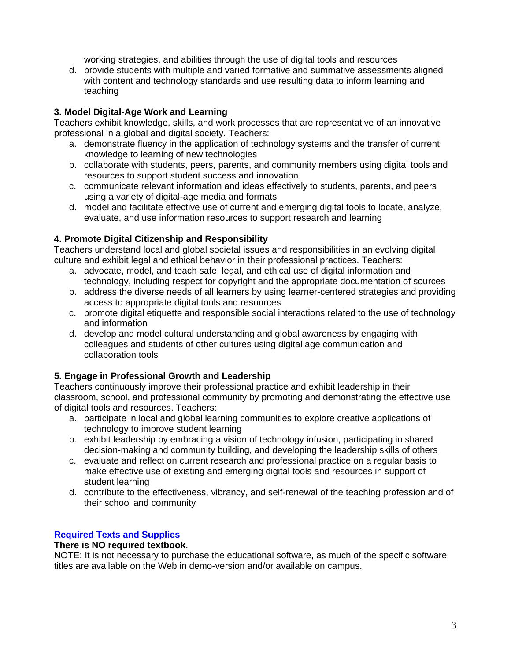working strategies, and abilities through the use of digital tools and resources

d. provide students with multiple and varied formative and summative assessments aligned with content and technology standards and use resulting data to inform learning and teaching

# **3. Model Digital-Age Work and Learning**

Teachers exhibit knowledge, skills, and work processes that are representative of an innovative professional in a global and digital society. Teachers:

- a. demonstrate fluency in the application of technology systems and the transfer of current knowledge to learning of new technologies
- b. collaborate with students, peers, parents, and community members using digital tools and resources to support student success and innovation
- c. communicate relevant information and ideas effectively to students, parents, and peers using a variety of digital-age media and formats
- evaluate, and use information resources to support research and learning d. model and facilitate effective use of current and emerging digital tools to locate, analyze,

# **4. Promote Digital Citizenship and Responsibility**

Teachers understand local and global societal issues and responsibilities in an evolving digital culture and exhibit legal and ethical behavior in their professional practices. Teachers:

- a. advocate, model, and teach safe, legal, and ethical use of digital information and technology, including respect for copyright and the appropriate documentation of sources
- b. address the diverse needs of all learners by using learner-centered strategies and providing access to appropriate digital tools and resources
- c. promote digital etiquette and responsible social interactions related to the use of technology and information
- d. develop and model cultural understanding and global awareness by engaging with colleagues and students of other cultures using digital age communication and collaboration tools

# **5. Engage in Professional Growth and Leadership**

Teachers continuously improve their professional practice and exhibit leadership in their classroom, school, and professional community by promoting and demonstrating the effective use of digital tools and resources. Teachers:

- a. participate in local and global learning communities to explore creative applications of technology to improve student learning
- b. exhibit leadership by embracing a vision of technology infusion, participating in shared decision-making and community building, and developing the leadership skills of others
- c. evaluate and reflect on current research and professional practice on a regular basis to make effective use of existing and emerging digital tools and resources in support of student learning
- d. contribute to the effectiveness, vibrancy, and self-renewal of the teaching profession and of their school and community

# **Required Texts and Supplies**

# **There is NO required textbook**.

NOTE: It is not necessary to purchase the educational software, as much of the specific software titles are available on the Web in demo-version and/or available on campus.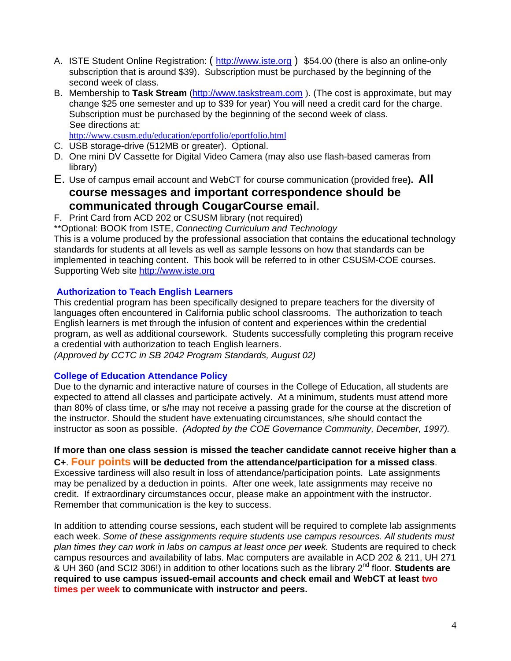- A. ISTE Student Online Registration: (http://www.iste.org) \$54.00 (there is also an online-only subscription that is around \$39). Subscription must be purchased by the beginning of the second week of class.
- B. Membership to **Task Stream** (http://www.taskstream.com ). (The cost is approximate, but may change \$25 one semester and up to \$39 for year) You will need a credit card for the charge. Subscription must be purchased by the beginning of the second week of class. See directions at:

http://www.csusm.edu/education/eportfolio/eportfolio.html

- C. USB storage-drive (512MB or greater). Optional.
- D. One mini DV Cassette for Digital Video Camera (may also use flash-based cameras from library)
- E. Use of campus email account and WebCT for course communication (provided free**). All**

# **course messages and important correspondence should be communicated through CougarCourse email.**<br>F. Print Card from ACD 202 or CSUSM library (not required)

\*\*Optional: BOOK from ISTE, *Connecting Curriculum and Technology* 

This is a volume produced by the professional association that contains the educational technology standards for students at all levels as well as sample lessons on how that standards can be implemented in teaching content. This book will be referred to in other CSUSM-COE courses. Supporting Web site http://www.iste.org

## **Authorization to Teach English Learners**

This credential program has been specifically designed to prepare teachers for the diversity of languages often encountered in California public school classrooms. The authorization to teach English learners is met through the infusion of content and experiences within the credential program, as well as additional coursework. Students successfully completing this program receive a credential with authorization to teach English learners.

*(Approved by CCTC in SB 2042 Program Standards, August 02)* 

## **College of Education Attendance Policy**

 instructor as soon as possible. *(Adopted by the COE Governance Community, December, 1997).* Due to the dynamic and interactive nature of courses in the College of Education, all students are expected to attend all classes and participate actively. At a minimum, students must attend more than 80% of class time, or s/he may not receive a passing grade for the course at the discretion of the instructor. Should the student have extenuating circumstances, s/he should contact the

**If more than one class session is missed the teacher candidate cannot receive higher than a C+**. **Four points will be deducted from the attendance/participation for a missed class**.

Excessive tardiness will also result in loss of attendance/participation points. Late assignments may be penalized by a deduction in points. After one week, late assignments may receive no credit. If extraordinary circumstances occur, please make an appointment with the instructor. Remember that communication is the key to success.

In addition to attending course sessions, each student will be required to complete lab assignments each week. *Some of these assignments require students use campus resources. All students must plan times they can work in labs on campus at least once per week.* Students are required to check campus resources and availability of labs. Mac computers are available in ACD 202 & 211, UH 271 & UH 360 (and SCI2 306!) in addition to other locations such as the library 2nd floor. **Students are required to use campus issued-email accounts and check email and WebCT at least two times per week to communicate with instructor and peers.**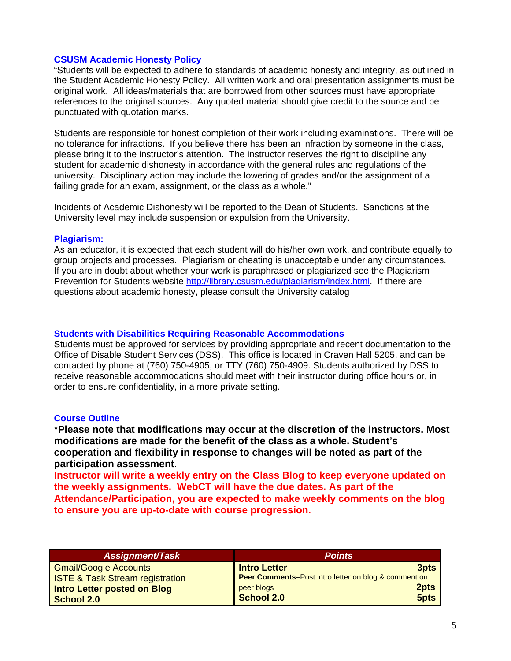#### **CSUSM Academic Honesty Policy**

"Students will be expected to adhere to standards of academic honesty and integrity, as outlined in the Student Academic Honesty Policy. All written work and oral presentation assignments must be original work. All ideas/materials that are borrowed from other sources must have appropriate references to the original sources. Any quoted material should give credit to the source and be punctuated with quotation marks.

Students are responsible for honest completion of their work including examinations. There will be no tolerance for infractions. If you believe there has been an infraction by someone in the class, please bring it to the instructor's attention. The instructor reserves the right to discipline any student for academic dishonesty in accordance with the general rules and regulations of the university. Disciplinary action may include the lowering of grades and/or the assignment of a failing grade for an exam, assignment, or the class as a whole."

Incidents of Academic Dishonesty will be reported to the Dean of Students. Sanctions at the University level may include suspension or expulsion from the University.

#### **Plagiarism:**

As an educator, it is expected that each student will do his/her own work, and contribute equally to group projects and processes. Plagiarism or cheating is unacceptable under any circumstances. If you are in doubt about whether your work is paraphrased or plagiarized see the Plagiarism Prevention for Students website http://library.csusm.edu/plagiarism/index.html. If there are questions about academic honesty, please consult the University catalog

#### **Students with Disabilities Requiring Reasonable Accommodations**

Students must be approved for services by providing appropriate and recent documentation to the Office of Disable Student Services (DSS). This office is located in Craven Hall 5205, and can be contacted by phone at (760) 750-4905, or TTY (760) 750-4909. Students authorized by DSS to receive reasonable accommodations should meet with their instructor during office hours or, in order to ensure confidentiality, in a more private setting.

## **Course Outline**

\***Please note that modifications may occur at the discretion of the instructors. Most modifications are made for the benefit of the class as a whole. Student's cooperation and flexibility in response to changes will be noted as part of the participation assessment**.

**Instructor will write a weekly entry on the Class Blog to keep everyone updated on the weekly assignments. WebCT will have the due dates. As part of the Attendance/Participation, you are expected to make weekly comments on the blog to ensure you are up-to-date with course progression.** 

| <b>Assignment/Task</b>                     | <b>Points</b>                                        |  |
|--------------------------------------------|------------------------------------------------------|--|
| <b>Gmail/Google Accounts</b>               | <b>Intro Letter</b><br>3pts                          |  |
| <b>ISTE &amp; Task Stream registration</b> | Peer Comments-Post intro letter on blog & comment on |  |
| Intro Letter posted on Blog                | 2pts<br>peer blogs                                   |  |
| <b>School 2.0</b>                          | School 2.0<br>5pts                                   |  |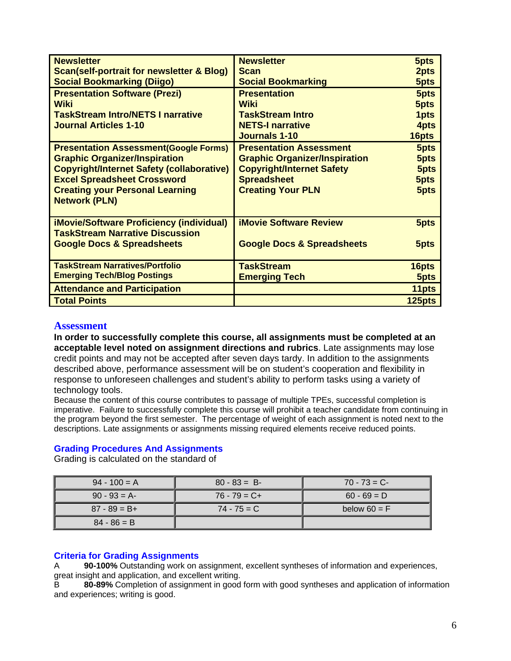| <b>Newsletter</b>                                    | <b>Newsletter</b>                     | 5pts   |
|------------------------------------------------------|---------------------------------------|--------|
| <b>Scan(self-portrait for newsletter &amp; Blog)</b> | <b>Scan</b>                           | 2pts   |
| <b>Social Bookmarking (Diigo)</b>                    | <b>Social Bookmarking</b>             | 5pts   |
| <b>Presentation Software (Prezi)</b>                 | <b>Presentation</b>                   | 5pts   |
| <b>Wiki</b>                                          | Wiki                                  | 5pts   |
| <b>TaskStream Intro/NETS I narrative</b>             | <b>TaskStream Intro</b>               | 1pts   |
| <b>Journal Articles 1-10</b>                         | <b>NETS-I narrative</b>               | 4pts   |
|                                                      | <b>Journals 1-10</b>                  | 16pts  |
| <b>Presentation Assessment (Google Forms)</b>        | <b>Presentation Assessment</b>        | 5pts   |
| <b>Graphic Organizer/Inspiration</b>                 | <b>Graphic Organizer/Inspiration</b>  | 5pts   |
| <b>Copyright/Internet Safety (collaborative)</b>     | <b>Copyright/Internet Safety</b>      | 5pts   |
| <b>Excel Spreadsheet Crossword</b>                   | <b>Spreadsheet</b>                    | 5pts   |
| <b>Creating your Personal Learning</b>               | <b>Creating Your PLN</b>              | 5pts   |
| <b>Network (PLN)</b>                                 |                                       |        |
|                                                      |                                       |        |
| <b>iMovie/Software Proficiency (individual)</b>      | <b>iMovie Software Review</b>         | 5pts   |
| <b>TaskStream Narrative Discussion</b>               |                                       |        |
| <b>Google Docs &amp; Spreadsheets</b>                | <b>Google Docs &amp; Spreadsheets</b> | 5pts   |
|                                                      |                                       |        |
| <b>TaskStream Narratives/Portfolio</b>               | <b>TaskStream</b>                     | 16pts  |
| <b>Emerging Tech/Blog Postings</b>                   | <b>Emerging Tech</b>                  | 5pts   |
| <b>Attendance and Participation</b>                  |                                       | 11pts  |
| <b>Total Points</b>                                  |                                       | 125pts |

# **Assessment**

**In order to successfully complete this course, all assignments must be completed at an acceptable level noted on assignment directions and rubrics**. Late assignments may lose credit points and may not be accepted after seven days tardy. In addition to the assignments described above, performance assessment will be on student's cooperation and flexibility in response to unforeseen challenges and student's ability to perform tasks using a variety of technology tools.

Because the content of this course contributes to passage of multiple TPEs, successful completion is imperative. Failure to successfully complete this course will prohibit a teacher candidate from continuing in the program beyond the first semester. The percentage of weight of each assignment is noted next to the descriptions. Late assignments or assignments missing required elements receive reduced points.

## **Grading Procedures And Assignments**

Grading is calculated on the standard of

| $94 - 100 = A$  | $80 - 83 = B$   | $70 - 73 = C$  |
|-----------------|-----------------|----------------|
| $90 - 93 = A$   | $76 - 79 = C +$ | $60 - 69 = D$  |
| $87 - 89 = B +$ | $74 - 75 = C$   | below $60 = F$ |
| $84 - 86 = B$   |                 |                |

## **Criteria for Grading Assignments**

 great insight and application, and excellent writing. A **90-100%** Outstanding work on assignment, excellent syntheses of information and experiences,

B **80-89%** Completion of assignment in good form with good syntheses and application of information and experiences; writing is good.